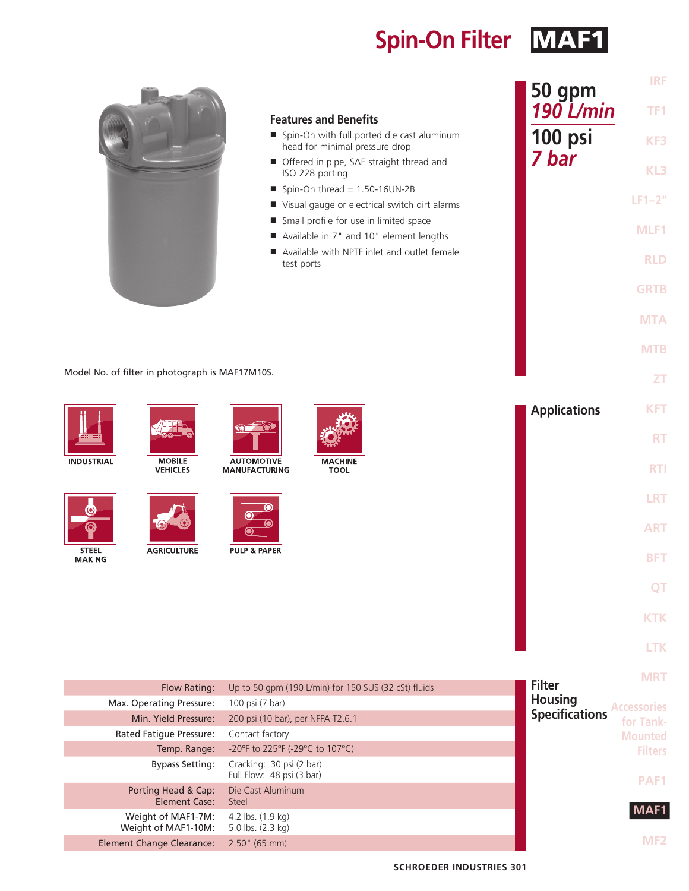**Spin-On Filter MAF1** 

|                               |                                                 |                                           | <b>Features and Benefits</b>                                                                  | 50 gpm<br><b>190 L/min</b> | <b>IRF</b><br>TF <sub>1</sub> |
|-------------------------------|-------------------------------------------------|-------------------------------------------|-----------------------------------------------------------------------------------------------|----------------------------|-------------------------------|
|                               |                                                 |                                           | ■ Spin-On with full ported die cast aluminum                                                  | 100 psi                    | KF3                           |
|                               |                                                 |                                           | head for minimal pressure drop<br>Offered in pipe, SAE straight thread and<br>ISO 228 porting | 7 bar                      | KL3                           |
|                               |                                                 |                                           | $\blacksquare$ Spin-On thread = 1.50-16UN-2B                                                  |                            | $LF1-2"$                      |
|                               |                                                 |                                           | Visual gauge or electrical switch dirt alarms                                                 |                            |                               |
|                               |                                                 |                                           | Small profile for use in limited space                                                        |                            | MLF1                          |
|                               |                                                 |                                           | Available in 7" and 10" element lengths                                                       |                            |                               |
|                               |                                                 |                                           | Available with NPTF inlet and outlet female<br>test ports                                     |                            | <b>RLD</b>                    |
|                               |                                                 |                                           |                                                                                               |                            | <b>GRTB</b>                   |
|                               |                                                 |                                           |                                                                                               |                            | <b>MTA</b>                    |
|                               |                                                 |                                           |                                                                                               |                            | <b>MTB</b>                    |
|                               | Model No. of filter in photograph is MAF17M10S. |                                           |                                                                                               |                            | <b>ZT</b>                     |
|                               |                                                 |                                           |                                                                                               | <b>Applications</b>        | <b>KFT</b>                    |
|                               |                                                 | $\circ$ $\circ$                           |                                                                                               |                            | <b>RT</b>                     |
| <b>INDUSTRIAL</b>             | <b>MOBILE</b><br><b>VEHICLES</b>                | <b>AUTOMOTIVE</b><br><b>MANUFACTURING</b> | <b>MACHINE</b><br><b>TOOL</b>                                                                 |                            | <b>RTI</b>                    |
|                               |                                                 |                                           |                                                                                               |                            | LRT                           |
|                               |                                                 |                                           |                                                                                               |                            | <b>ART</b>                    |
| <b>STEEL</b><br><b>MAKING</b> | <b>AGRICULTURE</b>                              | <b>PULP &amp; PAPER</b>                   |                                                                                               |                            | <b>BFT</b>                    |
|                               |                                                 |                                           |                                                                                               |                            | OT                            |

**KTK LTK**

| <b>MRT</b>         |                       |                                                       |                                           |
|--------------------|-----------------------|-------------------------------------------------------|-------------------------------------------|
|                    | <b>Filter</b>         | Up to 50 gpm (190 L/min) for 150 SUS (32 cSt) fluids  | Flow Rating:                              |
| <b>Accessories</b> | <b>Housing</b>        | 100 psi (7 bar)                                       | Max. Operating Pressure:                  |
| for Tank-          | <b>Specifications</b> | 200 psi (10 bar), per NFPA T2.6.1                     | Min. Yield Pressure:                      |
| <b>Mounted</b>     |                       | Contact factory                                       | Rated Fatigue Pressure:                   |
| <b>Filters</b>     |                       | -20°F to 225°F (-29°C to 107°C)                       | Temp. Range:                              |
| <b>PAF1</b>        |                       | Cracking: 30 psi (2 bar)<br>Full Flow: 48 psi (3 bar) | <b>Bypass Setting:</b>                    |
|                    |                       | Die Cast Aluminum<br>Steel                            | Porting Head & Cap:<br>Element Case:      |
| MAF1               |                       | 4.2 lbs. (1.9 kg)<br>5.0 lbs. (2.3 kg)                | Weight of MAF1-7M:<br>Weight of MAF1-10M: |
| MF2                |                       | $2.50$ " (65 mm)                                      | <b>Element Change Clearance:</b>          |
|                    |                       |                                                       |                                           |

**SCHROEDER INDUSTRIES 301**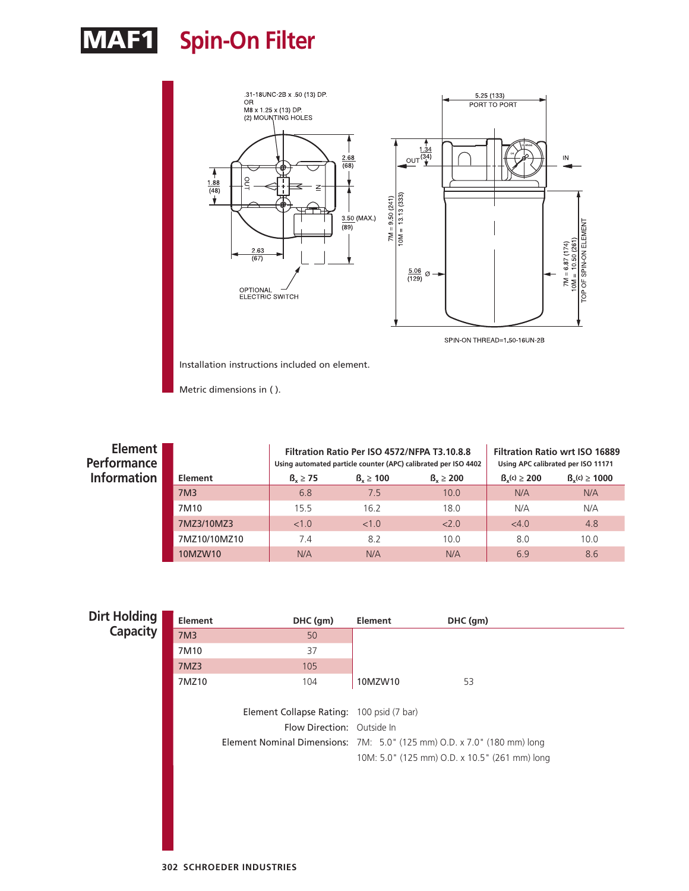## MAF1 **Spin-On Filter**



Installation instructions included on element.

Metric dimensions in ( ).

| Element  <br>Performance |                  |               | Filtration Ratio Per ISO 4572/NFPA T3.10.8.8 | Using automated particle counter (APC) calibrated per ISO 4402 | <b>Filtration Ratio wrt ISO 16889</b><br>Using APC calibrated per ISO 11171 |                  |  |
|--------------------------|------------------|---------------|----------------------------------------------|----------------------------------------------------------------|-----------------------------------------------------------------------------|------------------|--|
| Information              | Element          | $B_v \geq 75$ | $B_v \ge 100$                                | $B_v \ge 200$                                                  | $B_{v}(c) \ge 200$                                                          | $Bv(c) \ge 1000$ |  |
|                          | 7M3              | 6.8           | 7.5                                          | 10.0                                                           | N/A                                                                         | N/A              |  |
|                          | 7M <sub>10</sub> | 15.5          | 16.2                                         | 18.0                                                           | N/A                                                                         | N/A              |  |
|                          | 7MZ3/10MZ3       | <1.0          | <1.0                                         | 2.0                                                            | <4.0                                                                        | 4.8              |  |
|                          | 7MZ10/10MZ10     | 7.4           | 8.2                                          | 10.0                                                           | 8.0                                                                         | 10.0             |  |
|                          | 10MZW10          | N/A           | N/A                                          | N/A                                                            | 6.9                                                                         | 8.6              |  |

| Dirt Holding | <b>Element</b>  | DHC (gm)                                                                | Element | DHC (gm)                                      |  |
|--------------|-----------------|-------------------------------------------------------------------------|---------|-----------------------------------------------|--|
| Capacity     | 7M <sub>3</sub> | 50                                                                      |         |                                               |  |
|              | 7M10            | 37                                                                      |         |                                               |  |
|              | 7MZ3            | 105                                                                     |         |                                               |  |
|              | 7MZ10           | 104                                                                     | 10MZW10 | 53                                            |  |
|              |                 |                                                                         |         |                                               |  |
|              |                 | Element Collapse Rating: 100 psid (7 bar)                               |         |                                               |  |
|              |                 | Flow Direction: Outside In                                              |         |                                               |  |
|              |                 | Element Nominal Dimensions: 7M: 5.0" (125 mm) O.D. x 7.0" (180 mm) long |         |                                               |  |
|              |                 |                                                                         |         | 10M: 5.0" (125 mm) O.D. x 10.5" (261 mm) long |  |
|              |                 |                                                                         |         |                                               |  |
|              |                 |                                                                         |         |                                               |  |
|              |                 |                                                                         |         |                                               |  |
|              |                 |                                                                         |         |                                               |  |
|              |                 |                                                                         |         |                                               |  |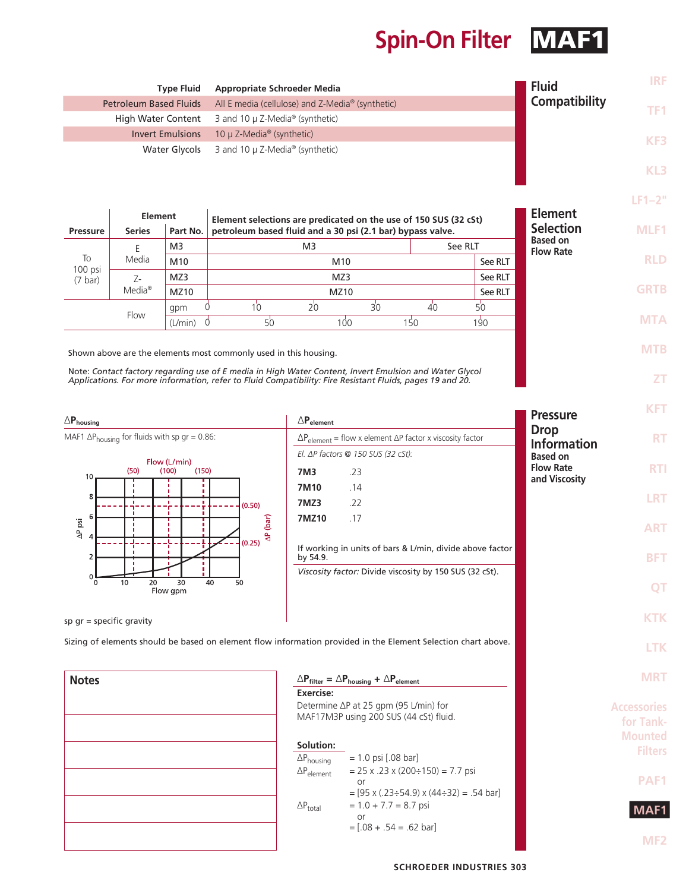## **Spin-On Filter MAF1**

| <b>Type Fluid</b><br><b>Appropriate Schroeder Media</b>                                                                                                                                                             |                           |                         |                                                                  |                                                            | <b>Fluid</b>   | <b>IRF</b>      |               |                                     |             |
|---------------------------------------------------------------------------------------------------------------------------------------------------------------------------------------------------------------------|---------------------------|-------------------------|------------------------------------------------------------------|------------------------------------------------------------|----------------|-----------------|---------------|-------------------------------------|-------------|
| <b>Petroleum Based Fluids</b>                                                                                                                                                                                       |                           |                         | All E media (cellulose) and Z-Media <sup>®</sup> (synthetic)     |                                                            |                |                 | Compatibility | TF1.                                |             |
|                                                                                                                                                                                                                     | <b>High Water Content</b> |                         | 3 and 10 $\mu$ Z-Media <sup>®</sup> (synthetic)                  |                                                            |                |                 |               |                                     |             |
|                                                                                                                                                                                                                     |                           | <b>Invert Emulsions</b> | 10 $\mu$ Z-Media <sup>®</sup> (synthetic)                        |                                                            |                |                 |               |                                     | KF3         |
|                                                                                                                                                                                                                     |                           | Water Glycols           | 3 and 10 $\mu$ Z-Media <sup>®</sup> (synthetic)                  |                                                            |                |                 |               |                                     |             |
|                                                                                                                                                                                                                     |                           |                         |                                                                  |                                                            |                |                 |               |                                     | KL3         |
|                                                                                                                                                                                                                     |                           |                         |                                                                  |                                                            |                |                 |               |                                     |             |
|                                                                                                                                                                                                                     |                           |                         |                                                                  |                                                            |                |                 |               |                                     | $LF1-2"$    |
| Element<br>Element selections are predicated on the use of 150 SUS (32 cSt)                                                                                                                                         |                           |                         |                                                                  |                                                            | <b>Element</b> |                 |               |                                     |             |
| Pressure                                                                                                                                                                                                            | <b>Series</b>             | Part No.                |                                                                  | petroleum based fluid and a 30 psi (2.1 bar) bypass valve. |                |                 |               | <b>Selection</b>                    | MLF1        |
|                                                                                                                                                                                                                     | F<br>Media                | M3                      |                                                                  | M <sub>3</sub>                                             |                |                 | See RLT       | <b>Based on</b><br><b>Flow Rate</b> |             |
| To<br>100 psi                                                                                                                                                                                                       |                           | M10                     |                                                                  | M10                                                        |                |                 | See RLT       |                                     | <b>RLD</b>  |
| $(7 \text{ bar})$                                                                                                                                                                                                   | $7 -$                     | MZ3                     |                                                                  | MZ3                                                        |                |                 | See RLT       |                                     |             |
|                                                                                                                                                                                                                     | Media <sup>®</sup>        | <b>MZ10</b>             |                                                                  | MZ10                                                       |                |                 | See RLT       |                                     | <b>GRTB</b> |
|                                                                                                                                                                                                                     | Flow                      | gpm                     | $10^{\circ}$                                                     | $20^{\circ}$                                               | $30^{\circ}$   | $\overline{40}$ | $50^{\circ}$  |                                     |             |
|                                                                                                                                                                                                                     |                           | (L/min)                 | 5 <sup>1</sup><br>$\Omega$                                       | 100 <sub>o</sub>                                           |                | 150             | 190           |                                     | <b>MTA</b>  |
|                                                                                                                                                                                                                     |                           |                         |                                                                  |                                                            |                |                 |               |                                     | <b>MTB</b>  |
|                                                                                                                                                                                                                     |                           |                         | Shown above are the elements most commonly used in this housing. |                                                            |                |                 |               |                                     |             |
| Note: Contact factory regarding use of E media in High Water Content, Invert Emulsion and Water Glycol<br>Applications. For more information, refer to Fluid Compatibility: Fire Resistant Fluids, pages 19 and 20. |                           |                         |                                                                  |                                                            |                | ΖT              |               |                                     |             |

**KFT Pressure** ∆**Phousing** ∆**Pelement Drop** MAF1  $\Delta P_{\text{housing}}$  for fluids with sp gr = 0.86: ∆Pelement = flow x element ∆P factor x viscosity factor **RT Information** *El. ∆P factors @ 150 SUS (32 cSt):* **Based on**  Flow  $(L/min)$ <br>(100) **Flow Rate RTI**  $(50)$  $(150)$ **7M3** .23  $10$ **and Viscosity 7M10** .14 ε **LRT 7MZ3** .22 ÷  $(0.50)$ **7MZ10** .17  $(bar)$  $\Delta P$  psi **ART**  $\triangleq$  $\overline{4}$  $(0.25)$ ÷ If working in units of bars & L/min, divide above factor **BFT**  $\overline{\phantom{0}}$ by 54.9. *Viscosity factor:* Divide viscosity by 150 SUS (32 cSt).  $\pmb{0}$  $\overline{30}$  $\overline{5}0$ 20 30<br>Flow gpm 40 10 **QT KTK** sp gr = specific gravity Sizing of elements should be based on element flow information provided in the Element Selection chart above. **LTK MRT Notes**∆**Pfilter =** ∆**Phousing +** ∆**Pelement Exercise:** Determine ∆P at 25 gpm (95 L/min) for **Accessories** MAF17M3P using 200 SUS (44 cSt) fluid. **for Tank-Mounted Solution: Filters**  $\Delta P_{\text{housing}}$  = 1.0 psi [.08 bar]  $\Delta P_{element}$  = 25 x .23 x (200÷150) = 7.7 psi **PAF1** or  $=$  [95 x (.23÷54.9) x (44÷32) = .54 bar]

> $\Delta P_{total}$  = 1.0 + 7.7 = 8.7 psi or

> > $=[.08 + .54 = .62 \text{ bar}]$

**SCHROEDER INDUSTRIES 303**

**MAF1**

**MF2**